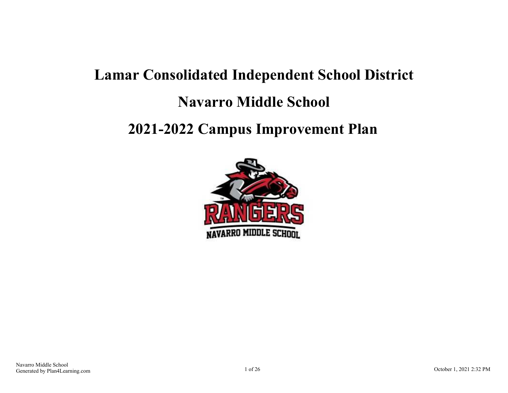# **Lamar Consolidated Independent School District Navarro Middle School 2021-2022 Campus Improvement Plan**

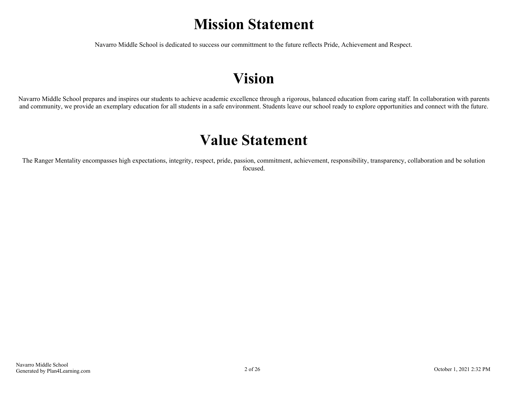## **Mission Statement**

Navarro Middle School is dedicated to success our committment to the future reflects Pride, Achievement and Respect.

## **Vision**

Navarro Middle School prepares and inspires our students to achieve academic excellence through a rigorous, balanced education from caring staff. In collaboration with parents and community, we provide an exemplary education for all students in a safe environment. Students leave our school ready to explore opportunities and connect with the future.

## **Value Statement**

The Ranger Mentality encompasses high expectations, integrity, respect, pride, passion, commitment, achievement, responsibility, transparency, collaboration and be solution focused.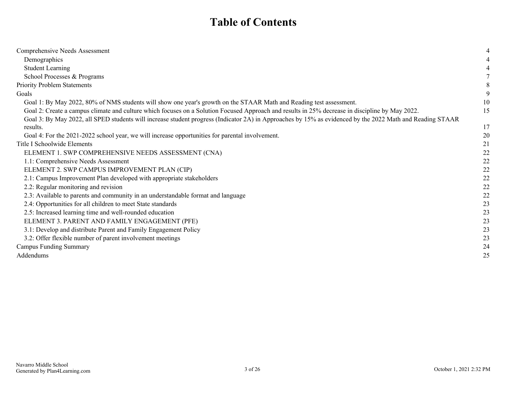## **Table of Contents**

| Comprehensive Needs Assessment                                                                                                                            | 4  |
|-----------------------------------------------------------------------------------------------------------------------------------------------------------|----|
| Demographics                                                                                                                                              | 4  |
| <b>Student Learning</b>                                                                                                                                   | 4  |
| School Processes & Programs                                                                                                                               |    |
| <b>Priority Problem Statements</b>                                                                                                                        |    |
| Goals                                                                                                                                                     |    |
| Goal 1: By May 2022, 80% of NMS students will show one year's growth on the STAAR Math and Reading test assessment.                                       | 10 |
| Goal 2: Create a campus climate and culture which focuses on a Solution Focused Approach and results in 25% decrease in discipline by May 2022.           | 15 |
| Goal 3: By May 2022, all SPED students will increase student progress (Indicator 2A) in Approaches by 15% as evidenced by the 2022 Math and Reading STAAR |    |
| results.                                                                                                                                                  | 17 |
| Goal 4: For the 2021-2022 school year, we will increase opportunities for parental involvement.                                                           | 20 |
| Title I Schoolwide Elements                                                                                                                               | 21 |
| ELEMENT 1. SWP COMPREHENSIVE NEEDS ASSESSMENT (CNA)                                                                                                       | 22 |
| 1.1: Comprehensive Needs Assessment                                                                                                                       | 22 |
| ELEMENT 2. SWP CAMPUS IMPROVEMENT PLAN (CIP)                                                                                                              | 22 |
| 2.1: Campus Improvement Plan developed with appropriate stakeholders                                                                                      | 22 |
| 2.2: Regular monitoring and revision                                                                                                                      | 22 |
| 2.3: Available to parents and community in an understandable format and language                                                                          | 22 |
| 2.4: Opportunities for all children to meet State standards                                                                                               | 23 |
| 2.5: Increased learning time and well-rounded education                                                                                                   | 23 |
| ELEMENT 3. PARENT AND FAMILY ENGAGEMENT (PFE)                                                                                                             | 23 |
| 3.1: Develop and distribute Parent and Family Engagement Policy                                                                                           | 23 |
| 3.2: Offer flexible number of parent involvement meetings                                                                                                 | 23 |
| <b>Campus Funding Summary</b>                                                                                                                             | 24 |
| Addendums                                                                                                                                                 | 25 |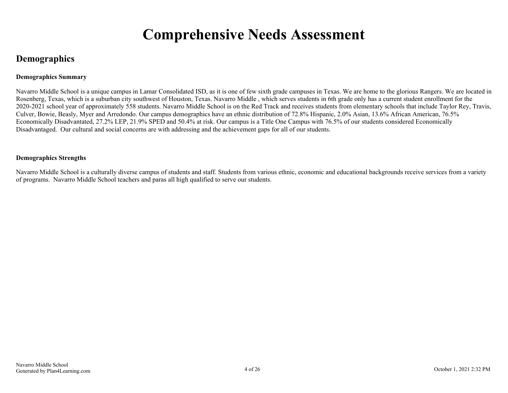## **Comprehensive Needs Assessment**

### <span id="page-3-0"></span>**Demographics**

#### **Demographics Summary**

Navarro Middle School is a unique campus in Lamar Consolidated ISD, as it is one of few sixth grade campuses in Texas. We are home to the glorious Rangers. We are located in Rosenberg, Texas, which is a suburban city southwest of Houston, Texas. Navarro Middle , which serves students in 6th grade only has a current student enrollment for the 2020-2021 school year of approximately 558 students. Navarro Middle School is on the Red Track and receives students from elementary schools that include Taylor Rey, Travis, Culver, Bowie, Beasly, Myer and Arredondo. Our campus demographics have an ethnic distribution of 72.8% Hispanic, 2.0% Asian, 13.6% African American, 76.5% Economically Disadvantated, 27.2% LEP, 21.9% SPED and 50.4% at risk. Our campus is a Title One Campus with 76.5% of our students considered Economically Disadvantaged. Our cultural and social concerns are with addressing and the achievement gaps for all of our students.

#### **Demographics Strengths**

Navarro Middle School is a culturally diverse campus of students and staff. Students from various ethnic, economic and educational backgrounds receive services from a variety of programs. Navarro Middle School teachers and paras all high qualified to serve our students.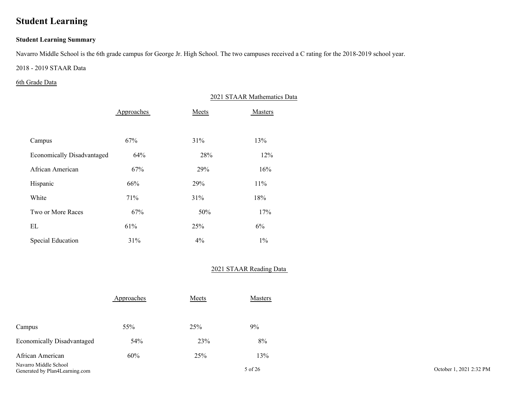## <span id="page-4-0"></span>**Student Learning**

#### **Student Learning Summary**

Navarro Middle School is the 6th grade campus for George Jr. High School. The two campuses received a C rating for the 2018-2019 school year.

#### 2018 - 2019 STAAR Data

#### 6th Grade Data

|                                   |            |       | 2021 STAAR Mathematics Data |
|-----------------------------------|------------|-------|-----------------------------|
|                                   | Approaches | Meets | Masters                     |
|                                   |            |       |                             |
| Campus                            | 67%        | 31%   | 13%                         |
| <b>Economically Disadvantaged</b> | 64%        | 28%   | 12%                         |
| African American                  | 67%        | 29%   | 16%                         |
| Hispanic                          | 66%        | 29%   | 11%                         |
| White                             | 71%        | 31%   | 18%                         |
| Two or More Races                 | 67%        | 50%   | 17%                         |
| EL                                | 61%        | 25%   | 6%                          |
| Special Education                 | 31%        | $4\%$ | $1\%$                       |

#### 2021 STAAR Reading Data

|                                           | Approaches | Meets | <b>Masters</b> |
|-------------------------------------------|------------|-------|----------------|
| Campus                                    | 55%        | 25%   | 9%             |
| <b>Economically Disadvantaged</b>         | 54%        | 23%   | 8%             |
| African American<br>Navarro Middle School | 60%        | 25%   | 13%            |

Generated by Plan4Learning.com 5 of 26 October 1, 2021 2:32 PM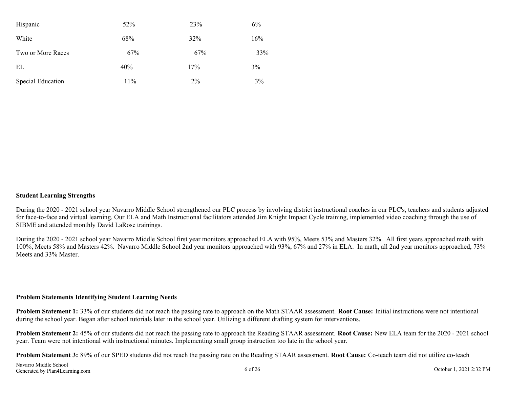| Hispanic                 | 52% | 23%   | $6\%$ |
|--------------------------|-----|-------|-------|
| White                    | 68% | 32%   | 16%   |
| Two or More Races        | 67% | 67%   | 33%   |
| EL                       | 40% | 17%   | 3%    |
| <b>Special Education</b> | 11% | $2\%$ | 3%    |

#### **Student Learning Strengths**

During the 2020 - 2021 school year Navarro Middle School strengthened our PLC process by involving district instructional coaches in our PLC's, teachers and students adjusted for face-to-face and virtual learning. Our ELA and Math Instructional facilitators attended Jim Knight Impact Cycle training, implemented video coaching through the use of SIBME and attended monthly David LaRose trainings.

During the 2020 - 2021 school year Navarro Middle School first year monitors approached ELA with 95%, Meets 53% and Masters 32%. All first years approached math with 100%, Meets 58% and Masters 42%. Navarro Middle School 2nd year monitors approached with 93%, 67% and 27% in ELA. In math, all 2nd year monitors approached, 73% Meets and 33% Master.

#### **Problem Statements Identifying Student Learning Needs**

**Problem Statement 1:** 33% of our students did not reach the passing rate to approach on the Math STAAR assessment. **Root Cause:** Initial instructions were not intentional during the school year. Began after school tutorials later in the school year. Utilizing a different drafting system for interventions.

**Problem Statement 2:** 45% of our students did not reach the passing rate to approach the Reading STAAR assessment. **Root Cause:** New ELA team for the 2020 - 2021 school year. Team were not intentional with instructional minutes. Implementing small group instruction too late in the school year.

**Problem Statement 3:** 89% of our SPED students did not reach the passing rate on the Reading STAAR assessment. **Root Cause:** Co-teach team did not utilize co-teach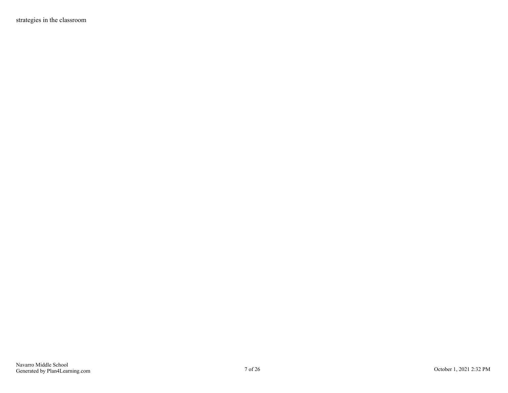strategies in the classroom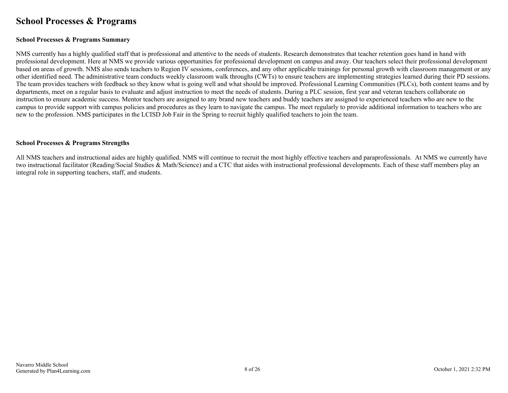### <span id="page-7-0"></span>**School Processes & Programs**

#### **School Processes & Programs Summary**

NMS currently has a highly qualified staff that is professional and attentive to the needs of students. Research demonstrates that teacher retention goes hand in hand with professional development. Here at NMS we provide various opportunities for professional development on campus and away. Our teachers select their professional development based on areas of growth. NMS also sends teachers to Region IV sessions, conferences, and any other applicable trainings for personal growth with classroom management or any other identified need. The administrative team conducts weekly classroom walk throughs (CWTs) to ensure teachers are implementing strategies learned during their PD sessions. The team provides teachers with feedback so they know what is going well and what should be improved. Professional Learning Communities (PLCs), both content teams and by departments, meet on a regular basis to evaluate and adjust instruction to meet the needs of students. During a PLC session, first year and veteran teachers collaborate on instruction to ensure academic success. Mentor teachers are assigned to any brand new teachers and buddy teachers are assigned to experienced teachers who are new to the campus to provide support with campus policies and procedures as they learn to navigate the campus. The meet regularly to provide additional information to teachers who are new to the profession. NMS participates in the LCISD Job Fair in the Spring to recruit highly qualified teachers to join the team.

#### **School Processes & Programs Strengths**

All NMS teachers and instructional aides are highly qualified. NMS will continue to recruit the most highly effective teachers and paraprofessionals. At NMS we currently have two instructional facilitator (Reading/Social Studies & Math/Science) and a CTC that aides with instructional professional developments. Each of these staff members play an integral role in supporting teachers, staff, and students.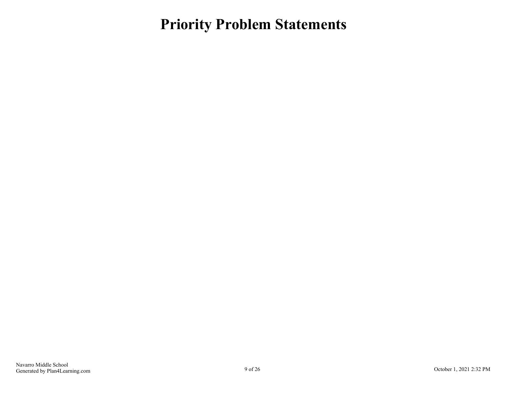## <span id="page-8-0"></span>**Priority Problem Statements**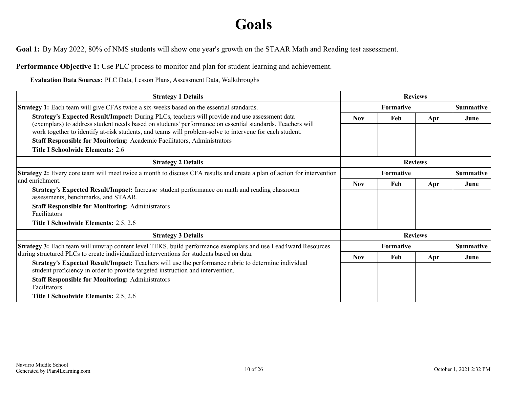## **Goals**

<span id="page-9-0"></span>**Goal 1:** By May 2022, 80% of NMS students will show one year's growth on the STAAR Math and Reading test assessment.

**Performance Objective 1:** Use PLC process to monitor and plan for student learning and achievement.

**Evaluation Data Sources:** PLC Data, Lesson Plans, Assessment Data, Walkthroughs

| <b>Strategy 1 Details</b>                                                                                                                                                                                  |                  | <b>Reviews</b>                |                |                  |  |
|------------------------------------------------------------------------------------------------------------------------------------------------------------------------------------------------------------|------------------|-------------------------------|----------------|------------------|--|
| <b>Strategy 1:</b> Each team will give CFAs twice a six-weeks based on the essential standards.                                                                                                            | <b>Formative</b> |                               |                | <b>Summative</b> |  |
| Strategy's Expected Result/Impact: During PLCs, teachers will provide and use assessment data<br>(exemplars) to address student needs based on students' performance on essential standards. Teachers will | <b>Nov</b>       | Feb                           | Apr            | June             |  |
| work together to identify at-risk students, and teams will problem-solve to intervene for each student.                                                                                                    |                  |                               |                |                  |  |
| Staff Responsible for Monitoring: Academic Facilitators, Administrators                                                                                                                                    |                  |                               |                |                  |  |
| <b>Title I Schoolwide Elements: 2.6</b>                                                                                                                                                                    |                  |                               |                |                  |  |
| <b>Strategy 2 Details</b>                                                                                                                                                                                  | <b>Reviews</b>   |                               |                |                  |  |
| <b>Strategy 2:</b> Every core team will meet twice a month to discuss CFA results and create a plan of action for intervention                                                                             |                  | Formative<br><b>Summative</b> |                |                  |  |
| and enrichment.<br>Strategy's Expected Result/Impact: Increase student performance on math and reading classroom<br>assessments, benchmarks, and STAAR.                                                    | <b>Nov</b>       | Feb                           | Apr            | June             |  |
|                                                                                                                                                                                                            |                  |                               |                |                  |  |
| <b>Staff Responsible for Monitoring: Administrators</b><br><b>Facilitators</b>                                                                                                                             |                  |                               |                |                  |  |
| Title I Schoolwide Elements: 2.5, 2.6                                                                                                                                                                      |                  |                               |                |                  |  |
| <b>Strategy 3 Details</b>                                                                                                                                                                                  |                  |                               | <b>Reviews</b> |                  |  |
| Strategy 3: Each team will unwrap content level TEKS, build performance exemplars and use Lead4ward Resources                                                                                              |                  | Formative                     |                | <b>Summative</b> |  |
| during structured PLCs to create individualized interventions for students based on data.                                                                                                                  | <b>Nov</b>       | Feb                           | Apr            | June             |  |
| Strategy's Expected Result/Impact: Teachers will use the performance rubric to determine individual<br>student proficiency in order to provide targeted instruction and intervention.                      |                  |                               |                |                  |  |
| <b>Staff Responsible for Monitoring: Administrators</b><br>Facilitators                                                                                                                                    |                  |                               |                |                  |  |
| Title I Schoolwide Elements: 2.5, 2.6                                                                                                                                                                      |                  |                               |                |                  |  |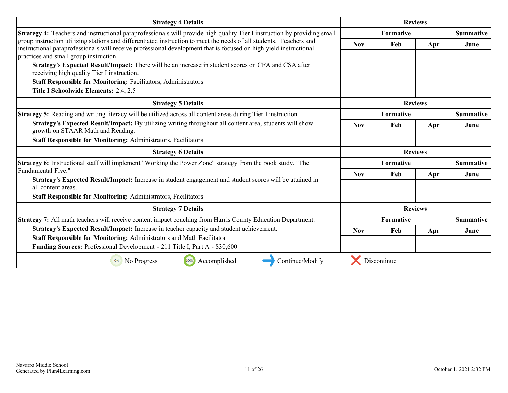| <b>Strategy 4 Details</b>                                                                                                                                                                                                                |                |                               | <b>Reviews</b> |                  |
|------------------------------------------------------------------------------------------------------------------------------------------------------------------------------------------------------------------------------------------|----------------|-------------------------------|----------------|------------------|
| Strategy 4: Teachers and instructional paraprofessionals will provide high quality Tier I instruction by providing small                                                                                                                 | Formative      |                               |                | <b>Summative</b> |
| group instruction utilizing stations and differentiated instruction to meet the needs of all students. Teachers and<br>instructional paraprofessionals will receive professional development that is focused on high yield instructional | <b>Nov</b>     | Feb                           | Apr            | June             |
| practices and small group instruction.                                                                                                                                                                                                   |                |                               |                |                  |
| Strategy's Expected Result/Impact: There will be an increase in student scores on CFA and CSA after<br>receiving high quality Tier I instruction.                                                                                        |                |                               |                |                  |
| <b>Staff Responsible for Monitoring: Facilitators, Administrators</b>                                                                                                                                                                    |                |                               |                |                  |
| Title I Schoolwide Elements: 2.4, 2.5                                                                                                                                                                                                    |                |                               |                |                  |
| <b>Strategy 5 Details</b>                                                                                                                                                                                                                | <b>Reviews</b> |                               |                |                  |
| <b>Strategy 5:</b> Reading and writing literacy will be utilized across all content areas during Tier I instruction.                                                                                                                     | Formative      |                               |                | <b>Summative</b> |
| Strategy's Expected Result/Impact: By utilizing writing throughout all content area, students will show<br>growth on STAAR Math and Reading.                                                                                             | <b>Nov</b>     | Feb                           | Apr            | June             |
| <b>Staff Responsible for Monitoring: Administrators, Facilitators</b>                                                                                                                                                                    |                |                               |                |                  |
| <b>Strategy 6 Details</b>                                                                                                                                                                                                                | <b>Reviews</b> |                               |                |                  |
| Strategy 6: Instructional staff will implement "Working the Power Zone" strategy from the book study, "The                                                                                                                               | Formative      |                               |                | <b>Summative</b> |
| Fundamental Five."                                                                                                                                                                                                                       | <b>Nov</b>     | Feb                           | Apr            | June             |
| Strategy's Expected Result/Impact: Increase in student engagement and student scores will be attained in<br>all content areas.                                                                                                           |                |                               |                |                  |
| <b>Staff Responsible for Monitoring: Administrators, Facilitators</b>                                                                                                                                                                    |                |                               |                |                  |
| <b>Strategy 7 Details</b>                                                                                                                                                                                                                |                |                               | <b>Reviews</b> |                  |
| <b>Strategy 7:</b> All math teachers will receive content impact coaching from Harris County Education Department.                                                                                                                       |                | Formative<br><b>Summative</b> |                |                  |
| Strategy's Expected Result/Impact: Increase in teacher capacity and student achievement.                                                                                                                                                 | <b>Nov</b>     | Feb                           | Apr            | June             |
| Staff Responsible for Monitoring: Administrators and Math Facilitator                                                                                                                                                                    |                |                               |                |                  |
| Funding Sources: Professional Development - 211 Title I, Part A - \$30,600                                                                                                                                                               |                |                               |                |                  |
| Accomplished<br>100%<br>Continue/Modify<br>0%<br>No Progress                                                                                                                                                                             |                | Discontinue                   |                |                  |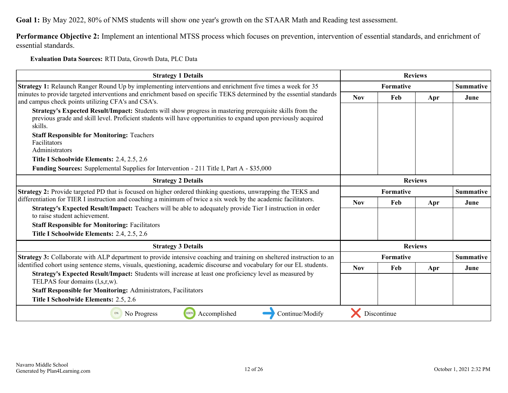**Goal 1:** By May 2022, 80% of NMS students will show one year's growth on the STAAR Math and Reading test assessment.

**Performance Objective 2:** Implement an intentional MTSS process which focuses on prevention, intervention of essential standards, and enrichment of essential standards.

#### **Evaluation Data Sources:** RTI Data, Growth Data, PLC Data

| <b>Strategy 1 Details</b>                                                                                                                                                                                                                                                                                                                                                                                                                                                                                                    |                  |                  | <b>Reviews</b> |                  |
|------------------------------------------------------------------------------------------------------------------------------------------------------------------------------------------------------------------------------------------------------------------------------------------------------------------------------------------------------------------------------------------------------------------------------------------------------------------------------------------------------------------------------|------------------|------------------|----------------|------------------|
| <b>Strategy 1:</b> Relaunch Ranger Round Up by implementing interventions and enrichment five times a week for 35                                                                                                                                                                                                                                                                                                                                                                                                            |                  | <b>Formative</b> |                | <b>Summative</b> |
| minutes to provide targeted interventions and enrichment based on specific TEKS determined by the essential standards                                                                                                                                                                                                                                                                                                                                                                                                        | <b>Nov</b>       | Feb              | Apr            | June             |
| and campus check points utilizing CFA's and CSA's.<br>Strategy's Expected Result/Impact: Students will show progress in mastering prerequisite skills from the<br>previous grade and skill level. Proficient students will have opportunities to expand upon previously acquired<br>skills.<br><b>Staff Responsible for Monitoring: Teachers</b><br>Facilitators<br>Administrators<br>Title I Schoolwide Elements: 2.4, 2.5, 2.6<br>Funding Sources: Supplemental Supplies for Intervention - 211 Title I, Part A - \$35,000 |                  |                  |                |                  |
|                                                                                                                                                                                                                                                                                                                                                                                                                                                                                                                              |                  |                  |                |                  |
| <b>Strategy 2 Details</b>                                                                                                                                                                                                                                                                                                                                                                                                                                                                                                    | <b>Reviews</b>   |                  |                |                  |
| <b>Strategy 2:</b> Provide targeted PD that is focused on higher ordered thinking questions, unwrapping the TEKS and<br>differentiation for TIER I instruction and coaching a minimum of twice a six week by the academic facilitators.<br>Strategy's Expected Result/Impact: Teachers will be able to adequately provide Tier I instruction in order                                                                                                                                                                        | <b>Formative</b> |                  |                | <b>Summative</b> |
|                                                                                                                                                                                                                                                                                                                                                                                                                                                                                                                              | <b>Nov</b>       | Feb              | Apr            | June             |
| to raise student achievement.                                                                                                                                                                                                                                                                                                                                                                                                                                                                                                |                  |                  |                |                  |
| <b>Staff Responsible for Monitoring: Facilitators</b>                                                                                                                                                                                                                                                                                                                                                                                                                                                                        |                  |                  |                |                  |
| Title I Schoolwide Elements: 2.4, 2.5, 2.6                                                                                                                                                                                                                                                                                                                                                                                                                                                                                   |                  |                  |                |                  |
| <b>Strategy 3 Details</b>                                                                                                                                                                                                                                                                                                                                                                                                                                                                                                    |                  |                  | <b>Reviews</b> |                  |
| <b>Strategy 3:</b> Collaborate with ALP department to provide intensive coaching and training on sheltered instruction to an                                                                                                                                                                                                                                                                                                                                                                                                 |                  | <b>Formative</b> |                | <b>Summative</b> |
| identified cohort using sentence stems, visuals, questioning, academic discourse and vocabulary for our EL students.                                                                                                                                                                                                                                                                                                                                                                                                         | <b>Nov</b>       | Feb              | Apr            | June             |
| Strategy's Expected Result/Impact: Students will increase at least one proficiency level as measured by<br>TELPAS four domains (l,s,r,w).                                                                                                                                                                                                                                                                                                                                                                                    |                  |                  |                |                  |
| <b>Staff Responsible for Monitoring: Administrators, Facilitators</b>                                                                                                                                                                                                                                                                                                                                                                                                                                                        |                  |                  |                |                  |
| Title I Schoolwide Elements: 2.5, 2.6                                                                                                                                                                                                                                                                                                                                                                                                                                                                                        |                  |                  |                |                  |
| 100%<br>Accomplished<br>Continue/Modify<br>No Progress<br>0%                                                                                                                                                                                                                                                                                                                                                                                                                                                                 |                  | Discontinue      |                |                  |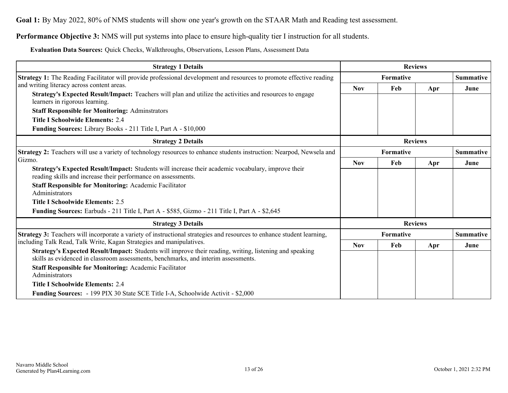**Goal 1:** By May 2022, 80% of NMS students will show one year's growth on the STAAR Math and Reading test assessment.

**Performance Objective 3:** NMS will put systems into place to ensure high-quality tier I instruction for all students.

**Evaluation Data Sources:** Quick Checks, Walkthroughs, Observations, Lesson Plans, Assessment Data

| <b>Strategy 1 Details</b>                                                                                                                                                                                                                                      |                  |           | <b>Reviews</b> |                  |
|----------------------------------------------------------------------------------------------------------------------------------------------------------------------------------------------------------------------------------------------------------------|------------------|-----------|----------------|------------------|
| Strategy 1: The Reading Facilitator will provide professional development and resources to promote effective reading                                                                                                                                           | <b>Formative</b> |           |                | <b>Summative</b> |
| and writing literacy across content areas.                                                                                                                                                                                                                     | <b>Nov</b>       | Feb       | Apr            | June             |
| Strategy's Expected Result/Impact: Teachers will plan and utilize the activities and resources to engage<br>learners in rigorous learning.                                                                                                                     |                  |           |                |                  |
| <b>Staff Responsible for Monitoring: Adminstrators</b>                                                                                                                                                                                                         |                  |           |                |                  |
| <b>Title I Schoolwide Elements: 2.4</b>                                                                                                                                                                                                                        |                  |           |                |                  |
| Funding Sources: Library Books - 211 Title I, Part A - \$10,000                                                                                                                                                                                                |                  |           |                |                  |
| <b>Strategy 2 Details</b>                                                                                                                                                                                                                                      | <b>Reviews</b>   |           |                |                  |
| Strategy 2: Teachers will use a variety of technology resources to enhance students instruction: Nearpod, Newsela and                                                                                                                                          | <b>Formative</b> |           |                | <b>Summative</b> |
| Gizmo.                                                                                                                                                                                                                                                         | <b>Nov</b>       | Feb       | Apr            | June             |
| Strategy's Expected Result/Impact: Students will increase their academic vocabulary, improve their<br>reading skills and increase their performance on assessments.                                                                                            |                  |           |                |                  |
| <b>Staff Responsible for Monitoring: Academic Facilitator</b><br>Administrators                                                                                                                                                                                |                  |           |                |                  |
| <b>Title I Schoolwide Elements: 2.5</b>                                                                                                                                                                                                                        |                  |           |                |                  |
| Funding Sources: Earbuds - 211 Title I, Part A - \$585, Gizmo - 211 Title I, Part A - \$2,645                                                                                                                                                                  |                  |           |                |                  |
| <b>Strategy 3 Details</b>                                                                                                                                                                                                                                      |                  |           | <b>Reviews</b> |                  |
| Strategy 3: Teachers will incorporate a variety of instructional strategies and resources to enhance student learning,                                                                                                                                         |                  | Formative |                | <b>Summative</b> |
| including Talk Read, Talk Write, Kagan Strategies and manipulatives.                                                                                                                                                                                           | <b>Nov</b>       | Feb       | Apr            | June             |
| Strategy's Expected Result/Impact: Students will improve their reading, writing, listening and speaking<br>skills as evidenced in classroom assessments, benchmarks, and interim assessments.<br><b>Staff Responsible for Monitoring: Academic Facilitator</b> |                  |           |                |                  |
| Administrators                                                                                                                                                                                                                                                 |                  |           |                |                  |
| <b>Title I Schoolwide Elements: 2.4</b>                                                                                                                                                                                                                        |                  |           |                |                  |
| <b>Funding Sources:</b> - 199 PIX 30 State SCE Title I-A, Schoolwide Activit - \$2,000                                                                                                                                                                         |                  |           |                |                  |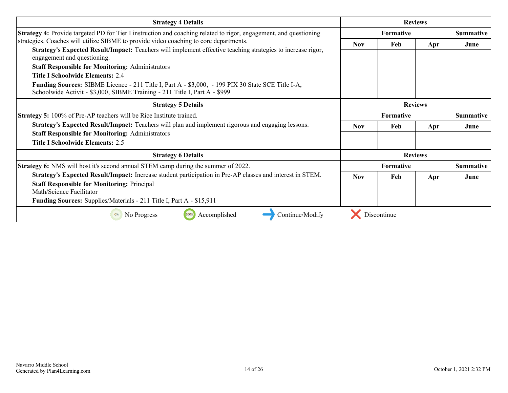| <b>Strategy 4 Details</b>                                                                                                                                                              |                  |                  | <b>Reviews</b> |                  |
|----------------------------------------------------------------------------------------------------------------------------------------------------------------------------------------|------------------|------------------|----------------|------------------|
| <b>Strategy 4:</b> Provide targeted PD for Tier I instruction and coaching related to rigor, engagement, and questioning                                                               | <b>Formative</b> |                  |                | <b>Summative</b> |
| strategies. Coaches will utilize SIBME to provide video coaching to core departments.                                                                                                  | <b>Nov</b>       | Feb              | Apr            | June             |
| Strategy's Expected Result/Impact: Teachers will implement effective teaching strategies to increase rigor,<br>engagement and questioning.                                             |                  |                  |                |                  |
| <b>Staff Responsible for Monitoring: Administrators</b>                                                                                                                                |                  |                  |                |                  |
| Title I Schoolwide Elements: 24                                                                                                                                                        |                  |                  |                |                  |
| <b>Funding Sources:</b> SIBME Licence - 211 Title I, Part A - \$3,000, - 199 PIX 30 State SCE Title I-A,<br>Schoolwide Activit - \$3,000, SIBME Training - 211 Title I, Part A - \$999 |                  |                  |                |                  |
| <b>Strategy 5 Details</b>                                                                                                                                                              | <b>Reviews</b>   |                  |                |                  |
| <b>Strategy 5:</b> 100% of Pre-AP teachers will be Rice Institute trained.                                                                                                             | <b>Formative</b> |                  |                | <b>Summative</b> |
| Strategy's Expected Result/Impact: Teachers will plan and implement rigorous and engaging lessons.                                                                                     | <b>Nov</b>       | Feb              | Apr            | June             |
| <b>Staff Responsible for Monitoring: Administrators</b>                                                                                                                                |                  |                  |                |                  |
| <b>Title I Schoolwide Elements: 2.5</b>                                                                                                                                                |                  |                  |                |                  |
| <b>Strategy 6 Details</b>                                                                                                                                                              |                  |                  | <b>Reviews</b> |                  |
| <b>Strategy 6:</b> NMS will host it's second annual STEM camp during the summer of 2022.                                                                                               |                  | <b>Formative</b> |                | <b>Summative</b> |
| Strategy's Expected Result/Impact: Increase student participation in Pre-AP classes and interest in STEM.                                                                              | <b>Nov</b>       | Feb              | Apr            | June             |
| <b>Staff Responsible for Monitoring: Principal</b><br>Math/Science Facilitator                                                                                                         |                  |                  |                |                  |
| <b>Funding Sources:</b> Supplies/Materials - 211 Title I, Part A - \$15,911                                                                                                            |                  |                  |                |                  |
| Accomplished<br>Continue/Modify<br>No Progress                                                                                                                                         |                  | Discontinue      |                |                  |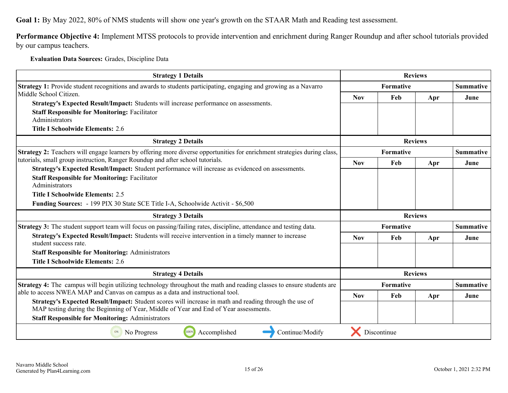**Goal 1:** By May 2022, 80% of NMS students will show one year's growth on the STAAR Math and Reading test assessment.

**Performance Objective 4:** Implement MTSS protocols to provide intervention and enrichment during Ranger Roundup and after school tutorials provided by our campus teachers.

**Evaluation Data Sources:** Grades, Discipline Data

| <b>Strategy 1 Details</b>                                                                                                                                                                                                                                  |                | <b>Reviews</b> |                |                  |  |
|------------------------------------------------------------------------------------------------------------------------------------------------------------------------------------------------------------------------------------------------------------|----------------|----------------|----------------|------------------|--|
| <b>Strategy 1:</b> Provide student recognitions and awards to students participating, engaging and growing as a Navarro                                                                                                                                    | Formative      |                |                | <b>Summative</b> |  |
| Middle School Citizen.                                                                                                                                                                                                                                     | <b>Nov</b>     | Feb            | Apr            | June             |  |
| Strategy's Expected Result/Impact: Students will increase performance on assessments.<br><b>Staff Responsible for Monitoring: Facilitator</b><br>Administrators<br><b>Title I Schoolwide Elements: 2.6</b>                                                 |                |                |                |                  |  |
| <b>Strategy 2 Details</b>                                                                                                                                                                                                                                  |                |                | <b>Reviews</b> |                  |  |
| Strategy 2: Teachers will engage learners by offering more diverse opportunities for enrichment strategies during class,                                                                                                                                   |                | Formative      |                | <b>Summative</b> |  |
| tutorials, small group instruction, Ranger Roundup and after school tutorials.<br>Strategy's Expected Result/Impact: Student performance will increase as evidenced on assessments.                                                                        | <b>Nov</b>     | Feb            | Apr            | June             |  |
| <b>Staff Responsible for Monitoring: Facilitator</b><br>Administrators<br><b>Title I Schoolwide Elements: 2.5</b><br><b>Funding Sources:</b> - 199 PIX 30 State SCE Title I-A, Schoolwide Activit - \$6,500                                                |                |                |                |                  |  |
| <b>Strategy 3 Details</b>                                                                                                                                                                                                                                  | <b>Reviews</b> |                |                |                  |  |
| <b>Strategy 3:</b> The student support team will focus on passing/failing rates, discipline, attendance and testing data.                                                                                                                                  |                | Formative      |                | <b>Summative</b> |  |
| Strategy's Expected Result/Impact: Students will receive intervention in a timely manner to increase                                                                                                                                                       | <b>Nov</b>     | Feb            | Apr            | June             |  |
| student success rate.<br><b>Staff Responsible for Monitoring: Administrators</b><br><b>Title I Schoolwide Elements: 2.6</b>                                                                                                                                |                |                |                |                  |  |
| <b>Strategy 4 Details</b>                                                                                                                                                                                                                                  |                |                | <b>Reviews</b> |                  |  |
| <b>Strategy 4:</b> The campus will begin utilizing technology throughout the math and reading classes to ensure students are                                                                                                                               |                | Formative      |                | <b>Summative</b> |  |
| able to access NWEA MAP and Canvas on campus as a data and instructional tool.                                                                                                                                                                             | <b>Nov</b>     | Feb            | Apr            | June             |  |
| Strategy's Expected Result/Impact: Student scores will increase in math and reading through the use of<br>MAP testing during the Beginning of Year, Middle of Year and End of Year assessments.<br><b>Staff Responsible for Monitoring: Administrators</b> |                |                |                |                  |  |
| Continue/Modify<br>0%<br>No Progress<br>100%<br>Accomplished                                                                                                                                                                                               |                | Discontinue    |                |                  |  |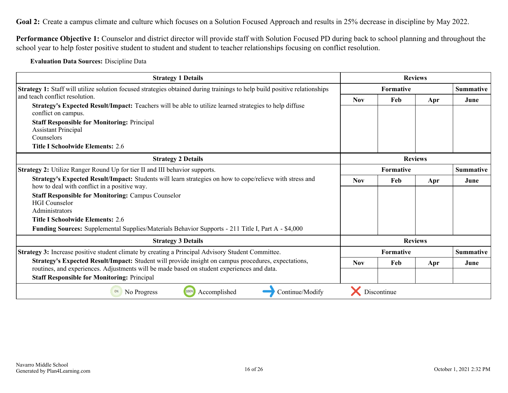<span id="page-15-0"></span>Goal 2: Create a campus climate and culture which focuses on a Solution Focused Approach and results in 25% decrease in discipline by May 2022.

**Performance Objective 1:** Counselor and district director will provide staff with Solution Focused PD during back to school planning and throughout the school year to help foster positive student to student and student to teacher relationships focusing on conflict resolution.

**Evaluation Data Sources:** Discipline Data

| <b>Strategy 1 Details</b>                                                                                                                                                                         |                  |             | <b>Reviews</b> |                  |
|---------------------------------------------------------------------------------------------------------------------------------------------------------------------------------------------------|------------------|-------------|----------------|------------------|
| <b>Strategy 1:</b> Staff will utilize solution focused strategies obtained during trainings to help build positive relationships                                                                  | <b>Formative</b> |             |                | <b>Summative</b> |
| and teach conflict resolution.                                                                                                                                                                    | <b>Nov</b>       | Feb         | Apr            | June             |
| Strategy's Expected Result/Impact: Teachers will be able to utilize learned strategies to help diffuse<br>conflict on campus.                                                                     |                  |             |                |                  |
| <b>Staff Responsible for Monitoring: Principal</b>                                                                                                                                                |                  |             |                |                  |
| <b>Assistant Principal</b>                                                                                                                                                                        |                  |             |                |                  |
| Counselors                                                                                                                                                                                        |                  |             |                |                  |
| <b>Title I Schoolwide Elements: 2.6</b>                                                                                                                                                           |                  |             |                |                  |
| <b>Strategy 2 Details</b>                                                                                                                                                                         | <b>Reviews</b>   |             |                |                  |
| <b>Strategy 2:</b> Utilize Ranger Round Up for tier II and III behavior supports.                                                                                                                 | Formative        |             |                | <b>Summative</b> |
| Strategy's Expected Result/Impact: Students will learn strategies on how to cope/relieve with stress and<br>how to deal with conflict in a positive way.                                          | <b>Nov</b>       | Feb         | Apr            | June             |
| <b>Staff Responsible for Monitoring: Campus Counselor</b>                                                                                                                                         |                  |             |                |                  |
| <b>HGI</b> Counselor                                                                                                                                                                              |                  |             |                |                  |
| Administrators                                                                                                                                                                                    |                  |             |                |                  |
| <b>Title I Schoolwide Elements: 2.6</b>                                                                                                                                                           |                  |             |                |                  |
| Funding Sources: Supplemental Supplies/Materials Behavior Supports - 211 Title I, Part A - \$4,000                                                                                                |                  |             |                |                  |
| <b>Strategy 3 Details</b>                                                                                                                                                                         |                  |             | <b>Reviews</b> |                  |
| Strategy 3: Increase positive student climate by creating a Principal Advisory Student Committee.                                                                                                 |                  | Formative   |                | <b>Summative</b> |
| Strategy's Expected Result/Impact: Student will provide insight on campus procedures, expectations,<br>routines, and experiences. Adjustments will be made based on student experiences and data. | <b>Nov</b>       | Feb         | Apr            | June             |
|                                                                                                                                                                                                   |                  |             |                |                  |
| <b>Staff Responsible for Monitoring: Principal</b>                                                                                                                                                |                  |             |                |                  |
| Accomplished<br>Continue/Modify<br>No Progress<br>100%<br>0%                                                                                                                                      |                  | Discontinue |                |                  |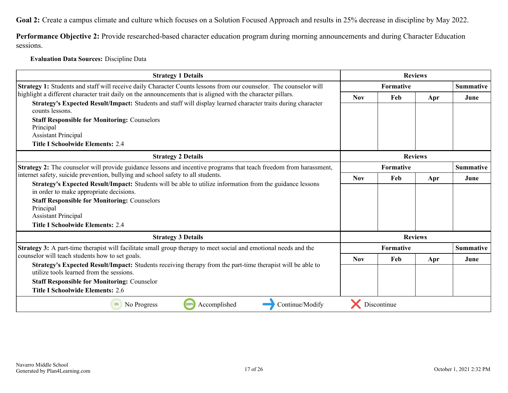Goal 2: Create a campus climate and culture which focuses on a Solution Focused Approach and results in 25% decrease in discipline by May 2022.

**Performance Objective 2:** Provide researched-based character education program during morning announcements and during Character Education sessions.

#### **Evaluation Data Sources:** Discipline Data

| <b>Strategy 1 Details</b>                                                                                                                              |                  |                  | <b>Reviews</b> |                  |
|--------------------------------------------------------------------------------------------------------------------------------------------------------|------------------|------------------|----------------|------------------|
| Strategy 1: Students and staff will receive daily Character Counts lessons from our counselor. The counselor will                                      |                  | <b>Formative</b> |                |                  |
| highlight a different character trait daily on the announcements that is aligned with the character pillars.                                           | <b>Nov</b>       | Feb              | Apr            | June             |
| Strategy's Expected Result/Impact: Students and staff will display learned character traits during character<br>counts lessons.                        |                  |                  |                |                  |
| <b>Staff Responsible for Monitoring: Counselors</b><br>Principal                                                                                       |                  |                  |                |                  |
| <b>Assistant Principal</b>                                                                                                                             |                  |                  |                |                  |
| <b>Title I Schoolwide Elements: 2.4</b>                                                                                                                |                  |                  |                |                  |
| <b>Strategy 2 Details</b>                                                                                                                              | <b>Reviews</b>   |                  |                |                  |
| Strategy 2: The counselor will provide guidance lessons and incentive programs that teach freedom from harassment,                                     | <b>Formative</b> |                  |                | <b>Summative</b> |
| internet safety, suicide prevention, bullying and school safety to all students.                                                                       | <b>Nov</b>       | Feb              | Apr            | June             |
| Strategy's Expected Result/Impact: Students will be able to utilize information from the guidance lessons<br>in order to make appropriate decisions.   |                  |                  |                |                  |
| <b>Staff Responsible for Monitoring: Counselors</b>                                                                                                    |                  |                  |                |                  |
| Principal                                                                                                                                              |                  |                  |                |                  |
| <b>Assistant Principal</b><br><b>Title I Schoolwide Elements: 2.4</b>                                                                                  |                  |                  |                |                  |
|                                                                                                                                                        |                  |                  |                |                  |
| <b>Strategy 3 Details</b>                                                                                                                              |                  |                  | <b>Reviews</b> |                  |
| Strategy 3: A part-time therapist will facilitate small group therapy to meet social and emotional needs and the                                       |                  | <b>Formative</b> |                | <b>Summative</b> |
| counselor will teach students how to set goals.                                                                                                        | <b>Nov</b>       | Feb              | Apr            | June             |
| Strategy's Expected Result/Impact: Students receiving therapy from the part-time therapist will be able to<br>utilize tools learned from the sessions. |                  |                  |                |                  |
| <b>Staff Responsible for Monitoring: Counselor</b>                                                                                                     |                  |                  |                |                  |
| <b>Title I Schoolwide Elements: 2.6</b>                                                                                                                |                  |                  |                |                  |
| 100%<br>Continue/Modify<br>Accomplished<br>0%<br>No Progress                                                                                           |                  | Discontinue      |                |                  |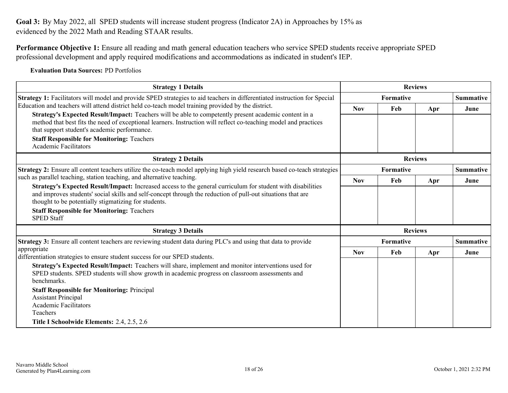<span id="page-17-0"></span>Goal 3: By May 2022, all SPED students will increase student progress (Indicator 2A) in Approaches by 15% as evidenced by the 2022 Math and Reading STAAR results.

**Performance Objective 1:** Ensure all reading and math general education teachers who service SPED students receive appropriate SPED professional development and apply required modifications and accommodations as indicated in student's IEP.

**Evaluation Data Sources:** PD Portfolios

| <b>Strategy 1 Details</b>                                                                                                                                                                                                                                                                                                                                                                            |            |                  | <b>Reviews</b> |                  |
|------------------------------------------------------------------------------------------------------------------------------------------------------------------------------------------------------------------------------------------------------------------------------------------------------------------------------------------------------------------------------------------------------|------------|------------------|----------------|------------------|
| Strategy 1: Facilitators will model and provide SPED strategies to aid teachers in differentiated instruction for Special                                                                                                                                                                                                                                                                            |            | <b>Summative</b> |                |                  |
| Education and teachers will attend district held co-teach model training provided by the district.                                                                                                                                                                                                                                                                                                   | <b>Nov</b> | Feb              | Apr            | June             |
| Strategy's Expected Result/Impact: Teachers will be able to competently present academic content in a<br>method that best fits the need of exceptional learners. Instruction will reflect co-teaching model and practices<br>that support student's academic performance.                                                                                                                            |            |                  |                |                  |
| <b>Staff Responsible for Monitoring: Teachers</b><br><b>Academic Facilitators</b>                                                                                                                                                                                                                                                                                                                    |            |                  |                |                  |
| <b>Strategy 2 Details</b>                                                                                                                                                                                                                                                                                                                                                                            |            |                  | <b>Reviews</b> |                  |
| <b>Strategy 2:</b> Ensure all content teachers utilize the co-teach model applying high yield research based co-teach strategies                                                                                                                                                                                                                                                                     |            | <b>Summative</b> |                |                  |
| such as parallel teaching, station teaching, and alternative teaching.<br>Strategy's Expected Result/Impact: Increased access to the general curriculum for student with disabilities                                                                                                                                                                                                                |            | Feb              | Apr            | June             |
| and improves students' social skills and self-concept through the reduction of pull-out situations that are<br>thought to be potentially stigmatizing for students.<br><b>Staff Responsible for Monitoring: Teachers</b><br><b>SPED Staff</b>                                                                                                                                                        |            |                  |                |                  |
| <b>Strategy 3 Details</b>                                                                                                                                                                                                                                                                                                                                                                            |            |                  | <b>Reviews</b> |                  |
| <b>Strategy 3:</b> Ensure all content teachers are reviewing student data during PLC's and using that data to provide                                                                                                                                                                                                                                                                                | Formative  |                  |                | <b>Summative</b> |
| appropriate<br>differentiation strategies to ensure student success for our SPED students.                                                                                                                                                                                                                                                                                                           | <b>Nov</b> | Feb              | Apr            | June             |
| Strategy's Expected Result/Impact: Teachers will share, implement and monitor interventions used for<br>SPED students. SPED students will show growth in academic progress on classroom assessments and<br>benchmarks.<br><b>Staff Responsible for Monitoring: Principal</b><br><b>Assistant Principal</b><br><b>Academic Facilitators</b><br>Teachers<br>Title I Schoolwide Elements: 2.4, 2.5, 2.6 |            |                  |                |                  |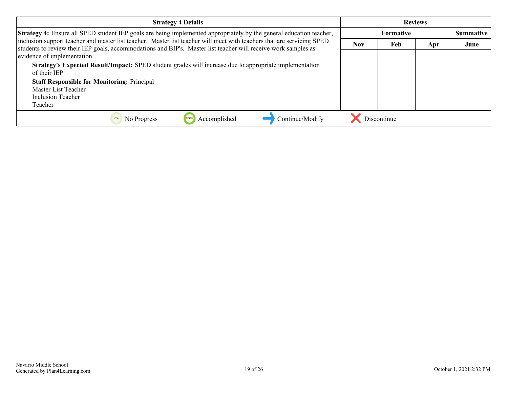| <b>Strategy 4 Details</b>                                                                                                                                                                                                                |            |                  | <b>Reviews</b> |      |
|------------------------------------------------------------------------------------------------------------------------------------------------------------------------------------------------------------------------------------------|------------|------------------|----------------|------|
| <b>Strategy 4:</b> Ensure all SPED student IEP goals are being implemented appropriately by the general education teacher,                                                                                                               |            | <b>Summative</b> |                |      |
| inclusion support teacher and master list teacher. Master list teacher will meet with teachers that are servicing SPED<br>students to review their IEP goals, accommodations and BIP's. Master list teacher will receive work samples as | <b>Nov</b> | Feb              | Apr            | June |
| evidence of implementation.                                                                                                                                                                                                              |            |                  |                |      |
| Strategy's Expected Result/Impact: SPED student grades will increase due to appropriate implementation<br>of their IEP.                                                                                                                  |            |                  |                |      |
| <b>Staff Responsible for Monitoring: Principal</b>                                                                                                                                                                                       |            |                  |                |      |
| Master List Teacher                                                                                                                                                                                                                      |            |                  |                |      |
| Inclusion Teacher                                                                                                                                                                                                                        |            |                  |                |      |
| Teacher                                                                                                                                                                                                                                  |            |                  |                |      |
| Continue/Modify<br>Accomplished<br>100%<br>No Progress                                                                                                                                                                                   |            | Discontinue      |                |      |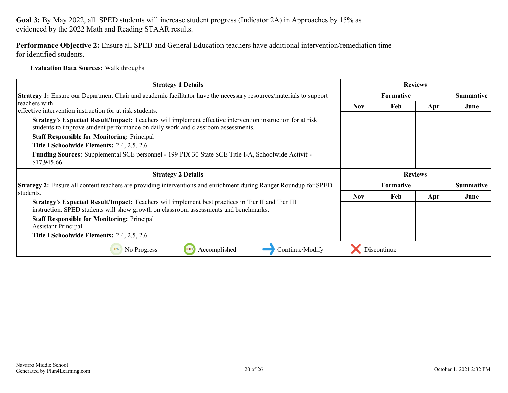**Performance Objective 2:** Ensure all SPED and General Education teachers have additional intervention/remediation time for identified students.

**Evaluation Data Sources:** Walk throughs

| <b>Strategy 1 Details</b>                                                                                                                                                                                                                           | <b>Reviews</b> |                  |     |                  |
|-----------------------------------------------------------------------------------------------------------------------------------------------------------------------------------------------------------------------------------------------------|----------------|------------------|-----|------------------|
| <b>Strategy 1:</b> Ensure our Department Chair and academic facilitator have the necessary resources/materials to support                                                                                                                           |                | <b>Summative</b> |     |                  |
| l teachers with<br>effective intervention instruction for at risk students.                                                                                                                                                                         | <b>Nov</b>     | Feb              | Apr | June             |
| Strategy's Expected Result/Impact: Teachers will implement effective intervention instruction for at risk<br>students to improve student performance on daily work and classroom assessments.<br><b>Staff Responsible for Monitoring: Principal</b> |                |                  |     |                  |
| Title I Schoolwide Elements: 2.4, 2.5, 2.6                                                                                                                                                                                                          |                |                  |     |                  |
| Funding Sources: Supplemental SCE personnel - 199 PIX 30 State SCE Title I-A, Schoolwide Activit -<br>\$17,945.66                                                                                                                                   |                |                  |     |                  |
|                                                                                                                                                                                                                                                     |                |                  |     |                  |
| <b>Strategy 2 Details</b>                                                                                                                                                                                                                           |                | <b>Reviews</b>   |     |                  |
| <b>Strategy 2:</b> Ensure all content teachers are providing interventions and enrichment during Ranger Roundup for SPED                                                                                                                            |                | <b>Formative</b> |     | <b>Summative</b> |
| students.                                                                                                                                                                                                                                           | <b>Nov</b>     | Feb              | Apr | June             |
| Strategy's Expected Result/Impact: Teachers will implement best practices in Tier II and Tier III                                                                                                                                                   |                |                  |     |                  |
| instruction. SPED students will show growth on classroom assessments and benchmarks.<br><b>Staff Responsible for Monitoring: Principal</b><br><b>Assistant Principal</b>                                                                            |                |                  |     |                  |
| Title I Schoolwide Elements: 2.4, 2.5, 2.6                                                                                                                                                                                                          |                |                  |     |                  |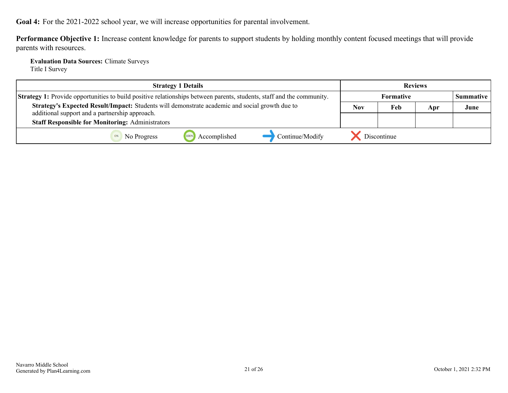<span id="page-20-0"></span>**Goal 4:** For the 2021-2022 school year, we will increase opportunities for parental involvement.

**Performance Objective 1:** Increase content knowledge for parents to support students by holding monthly content focused meetings that will provide parents with resources.

**Evaluation Data Sources:** Climate Surveys Title I Survey

| <b>Strategy 1 Details</b>                                                                                                    | <b>Reviews</b> |                  |     |                  |
|------------------------------------------------------------------------------------------------------------------------------|----------------|------------------|-----|------------------|
| <b>Strategy 1:</b> Provide opportunities to build positive relationships between parents, students, staff and the community. |                | <b>Formative</b> |     | <b>Summative</b> |
| Strategy's Expected Result/Impact: Students will demonstrate academic and social growth due to                               | <b>Nov</b>     | Feb              | Apr | June             |
| additional support and a partnership approach.<br><b>Staff Responsible for Monitoring: Administrators</b>                    |                |                  |     |                  |
| Continue/Modify<br>Accomplished<br>No Progress                                                                               | Discontinue    |                  |     |                  |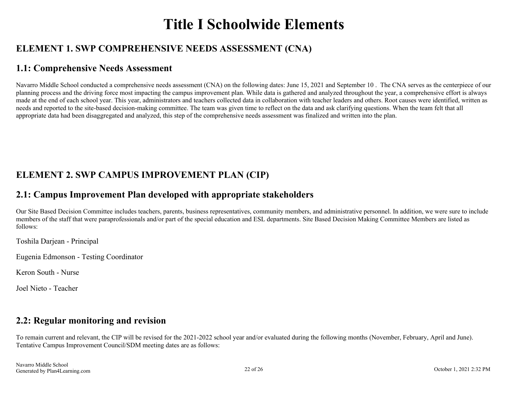## **Title I Schoolwide Elements**

## <span id="page-21-0"></span>**ELEMENT 1. SWP COMPREHENSIVE NEEDS ASSESSMENT (CNA)**

## **1.1: Comprehensive Needs Assessment**

Navarro Middle School conducted a comprehensive needs assessment (CNA) on the following dates: June 15, 2021 and September 10. The CNA serves as the centerpiece of our planning process and the driving force most impacting the campus improvement plan. While data is gathered and analyzed throughout the year, a comprehensive effort is always made at the end of each school year. This year, administrators and teachers collected data in collaboration with teacher leaders and others. Root causes were identified, written as needs and reported to the site-based decision-making committee. The team was given time to reflect on the data and ask clarifying questions. When the team felt that all appropriate data had been disaggregated and analyzed, this step of the comprehensive needs assessment was finalized and written into the plan.

## **ELEMENT 2. SWP CAMPUS IMPROVEMENT PLAN (CIP)**

## **2.1: Campus Improvement Plan developed with appropriate stakeholders**

Our Site Based Decision Committee includes teachers, parents, business representatives, community members, and administrative personnel. In addition, we were sure to include members of the staff that were paraprofessionals and/or part of the special education and ESL departments. Site Based Decision Making Committee Members are listed as follows:

Toshila Darjean - Principal

Eugenia Edmonson - Testing Coordinator

Keron South - Nurse

Joel Nieto - Teacher

## **2.2: Regular monitoring and revision**

To remain current and relevant, the CIP will be revised for the 2021-2022 school year and/or evaluated during the following months (November, February, April and June). Tentative Campus Improvement Council/SDM meeting dates are as follows: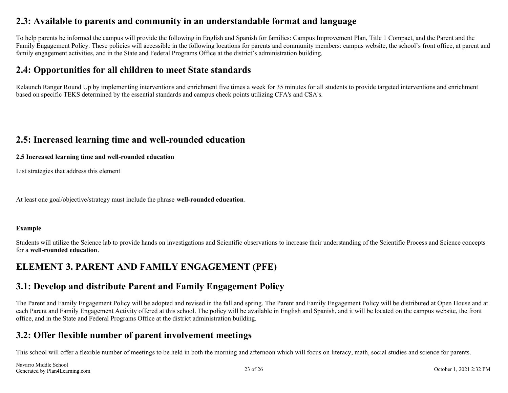### <span id="page-22-0"></span>**2.3: Available to parents and community in an understandable format and language**

To help parents be informed the campus will provide the following in English and Spanish for families: Campus Improvement Plan, Title 1 Compact, and the Parent and the Family Engagement Policy. These policies will accessible in the following locations for parents and community members: campus website, the school's front office, at parent and family engagement activities, and in the State and Federal Programs Office at the district's administration building.

### **2.4: Opportunities for all children to meet State standards**

Relaunch Ranger Round Up by implementing interventions and enrichment five times a week for 35 minutes for all students to provide targeted interventions and enrichment based on specific TEKS determined by the essential standards and campus check points utilizing CFA's and CSA's.

### **2.5: Increased learning time and well-rounded education**

#### **2.5 Increased learning time and well-rounded education**

List strategies that address this element

At least one goal/objective/strategy must include the phrase **well-rounded education**.

#### **Example**

Students will utilize the Science lab to provide hands on investigations and Scientific observations to increase their understanding of the Scientific Process and Science concepts for a **well-rounded education**.

## **ELEMENT 3. PARENT AND FAMILY ENGAGEMENT (PFE)**

### **3.1: Develop and distribute Parent and Family Engagement Policy**

The Parent and Family Engagement Policy will be adopted and revised in the fall and spring. The Parent and Family Engagement Policy will be distributed at Open House and at each Parent and Family Engagement Activity offered at this school. The policy will be available in English and Spanish, and it will be located on the campus website, the front office, and in the State and Federal Programs Office at the district administration building.

### **3.2: Offer flexible number of parent involvement meetings**

This school will offer a flexible number of meetings to be held in both the morning and afternoon which will focus on literacy, math, social studies and science for parents.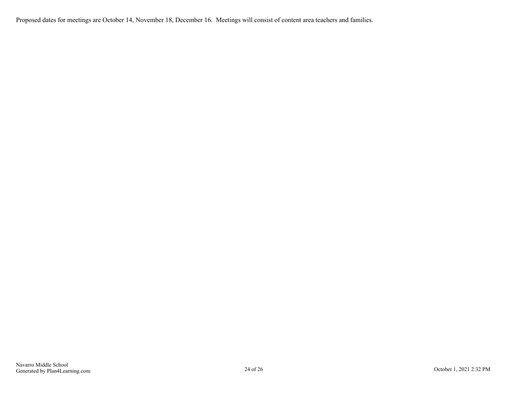Proposed dates for meetings are October 14, November 18, December 16. Meetings will consist of content area teachers and families.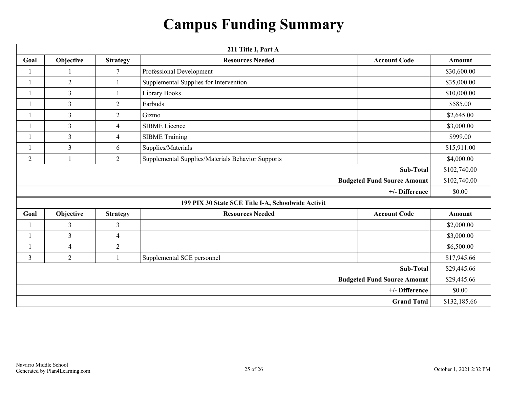## **Campus Funding Summary**

<span id="page-24-0"></span>

| 211 Title I, Part A                |                |                 |                                                    |                     |              |  |
|------------------------------------|----------------|-----------------|----------------------------------------------------|---------------------|--------------|--|
| Goal                               | Objective      | <b>Strategy</b> | <b>Resources Needed</b>                            | <b>Account Code</b> |              |  |
|                                    |                | 7               | Professional Development                           |                     | \$30,600.00  |  |
|                                    | $\overline{2}$ |                 | Supplemental Supplies for Intervention             |                     | \$35,000.00  |  |
|                                    | $\overline{3}$ |                 | Library Books                                      |                     | \$10,000.00  |  |
|                                    | 3              | $\overline{2}$  | Earbuds                                            |                     | \$585.00     |  |
|                                    | $\overline{3}$ | $\overline{2}$  | Gizmo                                              |                     | \$2,645.00   |  |
|                                    | $\overline{3}$ | $\overline{4}$  | <b>SIBME</b> Licence                               |                     | \$3,000.00   |  |
| $\mathbf{1}$                       | $\overline{3}$ | $\overline{4}$  | <b>SIBME Training</b>                              |                     | \$999.00     |  |
|                                    | $\overline{3}$ | 6               | Supplies/Materials                                 |                     | \$15,911.00  |  |
| $\overline{2}$                     | $\mathbf{1}$   | $\overline{2}$  | Supplemental Supplies/Materials Behavior Supports  |                     | \$4,000.00   |  |
|                                    |                |                 |                                                    | <b>Sub-Total</b>    | \$102,740.00 |  |
| <b>Budgeted Fund Source Amount</b> |                |                 |                                                    |                     | \$102,740.00 |  |
| +/- Difference                     |                |                 |                                                    |                     | \$0.00       |  |
|                                    |                |                 | 199 PIX 30 State SCE Title I-A, Schoolwide Activit |                     |              |  |
| Goal                               | Objective      | <b>Strategy</b> | <b>Resources Needed</b>                            | <b>Account Code</b> | Amount       |  |
|                                    | 3              | $\mathfrak{Z}$  |                                                    |                     | \$2,000.00   |  |
| $\mathbf{1}$                       | $\overline{3}$ | $\overline{4}$  |                                                    |                     | \$3,000.00   |  |
| $\mathbf{1}$                       | $\overline{4}$ | $\overline{2}$  |                                                    |                     | \$6,500.00   |  |
| $\overline{3}$                     | $\overline{2}$ | $\mathbf{1}$    | Supplemental SCE personnel                         |                     | \$17,945.66  |  |
| <b>Sub-Total</b>                   |                |                 |                                                    |                     | \$29,445.66  |  |
| <b>Budgeted Fund Source Amount</b> |                |                 |                                                    | \$29,445.66         |              |  |
| +/- Difference                     |                |                 |                                                    | \$0.00              |              |  |
| <b>Grand Total</b>                 |                |                 |                                                    | \$132,185.66        |              |  |